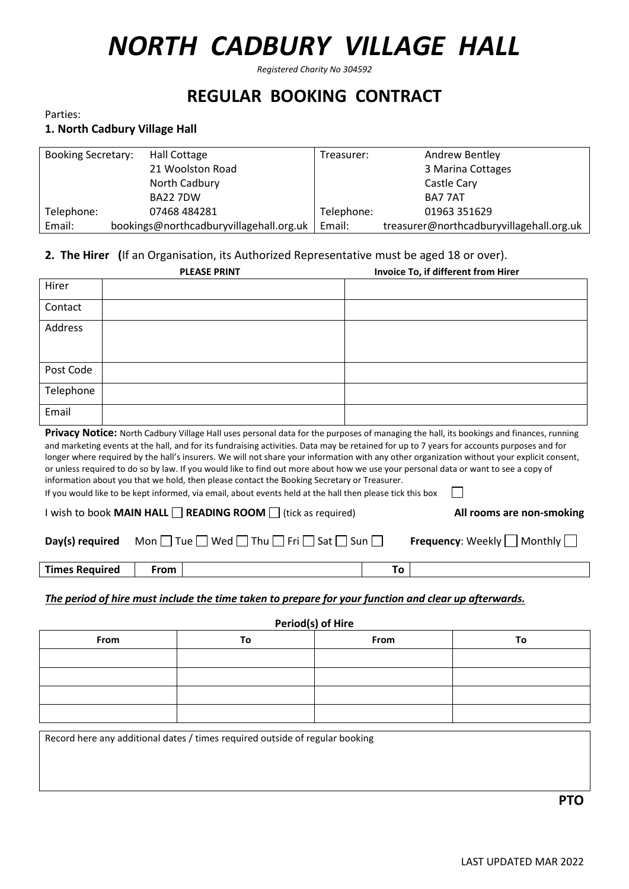# *NORTH CADBURY VILLAGE HALL*

*Registered Charity No 304592*

# **REGULAR BOOKING CONTRACT**

Parties:

# **1. North Cadbury Village Hall**

| <b>Booking Secretary:</b> | <b>Hall Cottage</b>                     | Treasurer: | Andrew Bentley                           |
|---------------------------|-----------------------------------------|------------|------------------------------------------|
|                           | 21 Woolston Road                        |            | 3 Marina Cottages                        |
|                           | North Cadbury                           |            | Castle Cary                              |
|                           | <b>BA22 7DW</b>                         |            | BA7 7AT                                  |
| Telephone:                | 07468 484281                            | Telephone: | 01963 351629                             |
| Email:                    | bookings@northcadburyvillagehall.org.uk | Email:     | treasurer@northcadburyvillagehall.org.uk |

### **2. The Hirer (**If an Organisation, its Authorized Representative must be aged 18 or over).

|                                                                                                                                                                                                                                                                                                                                                                                                                                                                                                                                                                                                                                                                                                                                                                                         | <b>PLEASE PRINT</b>                                                          | Invoice To, if different from Hirer |  |
|-----------------------------------------------------------------------------------------------------------------------------------------------------------------------------------------------------------------------------------------------------------------------------------------------------------------------------------------------------------------------------------------------------------------------------------------------------------------------------------------------------------------------------------------------------------------------------------------------------------------------------------------------------------------------------------------------------------------------------------------------------------------------------------------|------------------------------------------------------------------------------|-------------------------------------|--|
| Hirer                                                                                                                                                                                                                                                                                                                                                                                                                                                                                                                                                                                                                                                                                                                                                                                   |                                                                              |                                     |  |
| Contact                                                                                                                                                                                                                                                                                                                                                                                                                                                                                                                                                                                                                                                                                                                                                                                 |                                                                              |                                     |  |
| Address                                                                                                                                                                                                                                                                                                                                                                                                                                                                                                                                                                                                                                                                                                                                                                                 |                                                                              |                                     |  |
|                                                                                                                                                                                                                                                                                                                                                                                                                                                                                                                                                                                                                                                                                                                                                                                         |                                                                              |                                     |  |
| Post Code                                                                                                                                                                                                                                                                                                                                                                                                                                                                                                                                                                                                                                                                                                                                                                               |                                                                              |                                     |  |
| Telephone                                                                                                                                                                                                                                                                                                                                                                                                                                                                                                                                                                                                                                                                                                                                                                               |                                                                              |                                     |  |
| Email                                                                                                                                                                                                                                                                                                                                                                                                                                                                                                                                                                                                                                                                                                                                                                                   |                                                                              |                                     |  |
| Privacy Notice: North Cadbury Village Hall uses personal data for the purposes of managing the hall, its bookings and finances, running<br>and marketing events at the hall, and for its fundraising activities. Data may be retained for up to 7 years for accounts purposes and for<br>longer where required by the hall's insurers. We will not share your information with any other organization without your explicit consent,<br>or unless required to do so by law. If you would like to find out more about how we use your personal data or want to see a copy of<br>information about you that we hold, then please contact the Booking Secretary or Treasurer.<br>If you would like to be kept informed, via email, about events held at the hall then please tick this box |                                                                              |                                     |  |
|                                                                                                                                                                                                                                                                                                                                                                                                                                                                                                                                                                                                                                                                                                                                                                                         | I wish to book MAIN HALL $\Box$ READING ROOM $\Box$ (tick as required)       | All rooms are non-smoking           |  |
| Day(s) required                                                                                                                                                                                                                                                                                                                                                                                                                                                                                                                                                                                                                                                                                                                                                                         | Mon $\Box$ Tue $\Box$ Wed $\Box$ Thu $\Box$ Fri $\Box$ Sat $\Box$ Sun $\Box$ | <b>Frequency:</b> Weekly   Monthly  |  |
| <b>Times Required</b>                                                                                                                                                                                                                                                                                                                                                                                                                                                                                                                                                                                                                                                                                                                                                                   | <b>From</b>                                                                  | To                                  |  |
|                                                                                                                                                                                                                                                                                                                                                                                                                                                                                                                                                                                                                                                                                                                                                                                         |                                                                              |                                     |  |

*The period of hire must include the time taken to prepare for your function and clear up afterwards.*

**Period(s) of Hire From To From To**

Record here any additional dates / times required outside of regular booking